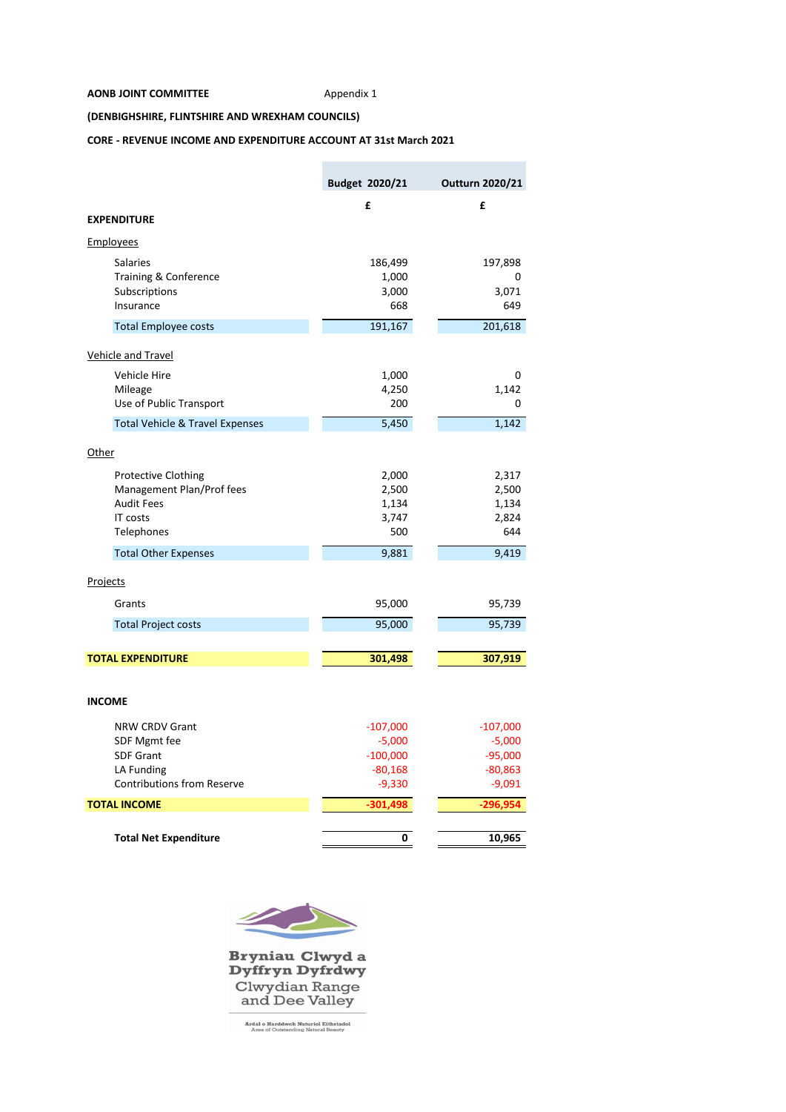## **AONB JOINT COMMITTEE** Appendix 1

**COL** 

**(DENBIGHSHIRE, FLINTSHIRE AND WREXHAM COUNCILS)**

## **CORE - REVENUE INCOME AND EXPENDITURE ACCOUNT AT 31st March 2021**

|                                                 | Budget 2020/21 | Outturn 2020/21 |
|-------------------------------------------------|----------------|-----------------|
|                                                 | £              | £               |
| <b>EXPENDITURE</b>                              |                |                 |
| <u>Employees</u>                                |                |                 |
| <b>Salaries</b>                                 | 186,499        | 197,898         |
| Training & Conference                           | 1,000          | 0               |
| Subscriptions                                   | 3,000          | 3,071           |
| Insurance                                       | 668            | 649             |
| <b>Total Employee costs</b>                     | 191,167        | 201,618         |
| <b>Vehicle and Travel</b>                       |                |                 |
| Vehicle Hire                                    | 1,000          | 0               |
| Mileage                                         | 4,250          | 1,142           |
| Use of Public Transport                         | 200            | 0               |
| <b>Total Vehicle &amp; Travel Expenses</b>      | 5,450          | 1,142           |
| Other                                           |                |                 |
| <b>Protective Clothing</b>                      | 2,000          | 2,317           |
| Management Plan/Prof fees                       | 2,500          | 2,500           |
| <b>Audit Fees</b>                               | 1,134          | 1,134           |
| IT costs                                        | 3,747          | 2,824           |
| Telephones                                      | 500            | 644             |
| <b>Total Other Expenses</b>                     | 9,881          | 9,419           |
| Projects                                        |                |                 |
| Grants                                          | 95,000         | 95,739          |
| <b>Total Project costs</b>                      | 95,000         | 95,739          |
|                                                 |                |                 |
| <b>TOTAL EXPENDITURE</b>                        | 301,498        | 307,919         |
|                                                 |                |                 |
| <b>INCOME</b>                                   |                |                 |
| <b>NRW CRDV Grant</b>                           | $-107,000$     | $-107,000$      |
| SDF Mgmt fee                                    | $-5,000$       | $-5,000$        |
| <b>SDF Grant</b>                                | $-100,000$     | $-95,000$       |
| LA Funding<br><b>Contributions from Reserve</b> | $-80,168$      | $-80,863$       |
|                                                 | $-9,330$       | $-9,091$        |
| <b>TOTAL INCOME</b>                             | $-301,498$     | $-296,954$      |
|                                                 | 0              |                 |
| <b>Total Net Expenditure</b>                    |                | 10,965          |



Bryniau Clwyd a<br>Dyffryn Dyfrdwy Clwydian Range<br>and Dee Valley

**Ardal o Harddwch Naturiol Eithriadol**<br>Area of Outstanding Natural Beauty